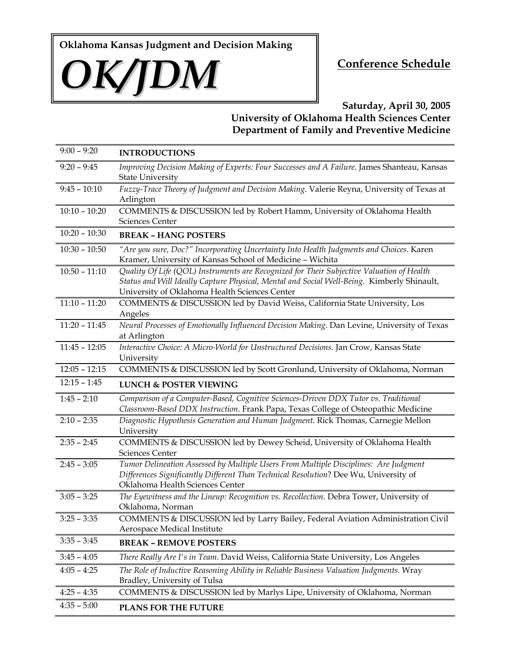**Oklahoma Kansas Judgment and Decision Making** 



**Saturday, April 30, 2005** 

**University of Oklahoma Health Sciences Center Department of Family and Preventive Medicine**

| $9:00 - 9:20$   | <b>INTRODUCTIONS</b>                                                                                                                                                                                                                     |
|-----------------|------------------------------------------------------------------------------------------------------------------------------------------------------------------------------------------------------------------------------------------|
| $9:20 - 9:45$   | Improving Decision Making of Experts: Four Successes and A Failure. James Shanteau, Kansas<br><b>State University</b>                                                                                                                    |
| $9:45 - 10:10$  | Fuzzy-Trace Theory of Judgment and Decision Making. Valerie Reyna, University of Texas at<br>Arlington                                                                                                                                   |
| $10:10 - 10:20$ | COMMENTS & DISCUSSION led by Robert Hamm, University of Oklahoma Health<br><b>Sciences Center</b>                                                                                                                                        |
| $10:20 - 10:30$ | <b>BREAK - HANG POSTERS</b>                                                                                                                                                                                                              |
| $10:30 - 10:50$ | "Are you sure, Doc?" Incorporating Uncertainty Into Health Judgments and Choices. Karen<br>Kramer, University of Kansas School of Medicine - Wichita                                                                                     |
| $10:50 - 11:10$ | Quality Of Life (QOL) Instruments are Recognized for Their Subjective Valuation of Health<br>Status and Will Ideally Capture Physical, Mental and Social Well-Being. Kimberly Shinault,<br>University of Oklahoma Health Sciences Center |
| $11:10 - 11:20$ | COMMENTS & DISCUSSION led by David Weiss, California State University, Los<br>Angeles                                                                                                                                                    |
| $11:20 - 11:45$ | Neural Processes of Emotionally Influenced Decision Making. Dan Levine, University of Texas<br>at Arlington                                                                                                                              |
| $11:45 - 12:05$ | Interactive Choice: A Micro-World for Unstructured Decisions. Jan Crow, Kansas State<br>University                                                                                                                                       |
| $12:05 - 12:15$ | COMMENTS & DISCUSSION led by Scott Gronlund, University of Oklahoma, Norman                                                                                                                                                              |
|                 |                                                                                                                                                                                                                                          |
| $12:15 - 1:45$  | <b>LUNCH &amp; POSTER VIEWING</b>                                                                                                                                                                                                        |
| $1:45 - 2:10$   | Comparison of a Computer-Based, Cognitive Sciences-Driven DDX Tutor vs. Traditional                                                                                                                                                      |
| $2:10 - 2:35$   | Classroom-Based DDX Instruction. Frank Papa, Texas College of Osteopathic Medicine<br>Diagnostic Hypothesis Generation and Human Judgment. Rick Thomas, Carnegie Mellon<br>University                                                    |
| $2:35 - 2:45$   | COMMENTS & DISCUSSION led by Dewey Scheid, University of Oklahoma Health<br><b>Sciences Center</b>                                                                                                                                       |
| $2:45 - 3:05$   | Tumor Delineation Assessed by Multiple Users From Multiple Disciplines: Are Judgment<br>Differences Significantly Different Than Technical Resolution? Dee Wu, University of<br>Oklahoma Health Sciences Center                          |
| $3:05 - 3:25$   | The Eyewitness and the Lineup: Recognition vs. Recollection. Debra Tower, University of<br>Oklahoma, Norman                                                                                                                              |
| 3:25 – 3:35     | COMMENTS & DISCUSSION led by Larry Bailey, Federal Aviation Administration Civil<br>Aerospace Medical Institute                                                                                                                          |
| $3:35 - 3:45$   | <b>BREAK - REMOVE POSTERS</b>                                                                                                                                                                                                            |
| $3:45 - 4:05$   | There Really Are I's in Team. David Weiss, California State University, Los Angeles                                                                                                                                                      |
| $4:05 - 4:25$   | The Role of Inductive Reasoning Ability in Reliable Business Valuation Judgments. Wray<br>Bradley, University of Tulsa                                                                                                                   |
| $4:25 - 4:35$   | COMMENTS & DISCUSSION led by Marlys Lipe, University of Oklahoma, Norman                                                                                                                                                                 |